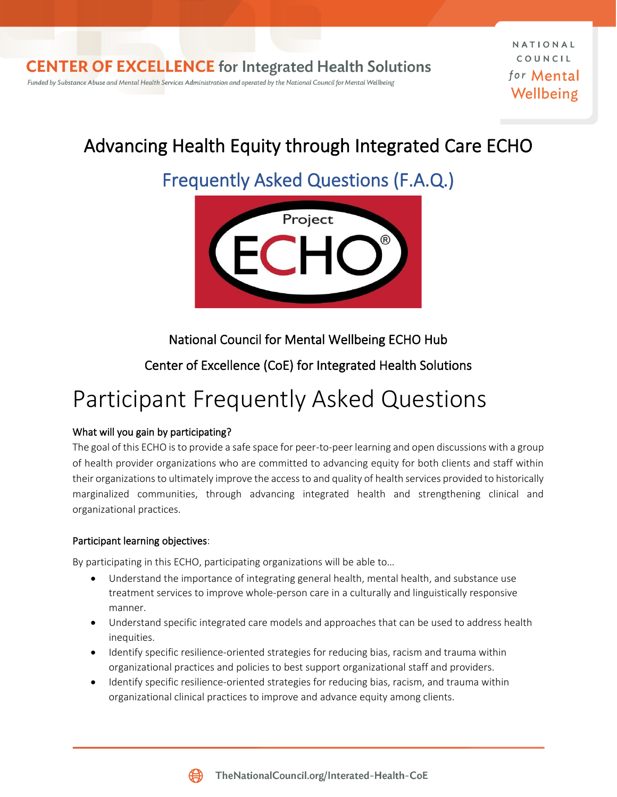NATIONAL COUNCIL for Mental Wellbeing

## Advancing Health Equity through Integrated Care ECHO

# Frequently Asked Questions (F.A.Q.)



National Council for Mental Wellbeing ECHO Hub

Center of Excellence (CoE) for Integrated Health Solutions

# Participant Frequently Asked Questions

## What will you gain by participating?

The goal of this ECHO is to provide a safe space for peer-to-peer learning and open discussions with a group of health provider organizations who are committed to advancing equity for both clients and staff within their organizations to ultimately improve the access to and quality of health services provided to historically marginalized communities, through advancing integrated health and strengthening clinical and organizational practices.

### Participant learning objectives:

By participating in this ECHO, participating organizations will be able to…

- Understand the importance of integrating general health, mental health, and substance use treatment services to improve whole-person care in a culturally and linguistically responsive manner.
- Understand specific integrated care models and approaches that can be used to address health inequities.
- Identify specific resilience-oriented strategies for reducing bias, racism and trauma within organizational practices and policies to best support organizational staff and providers.
- Identify specific resilience-oriented strategies for reducing bias, racism, and trauma within organizational clinical practices to improve and advance equity among clients.

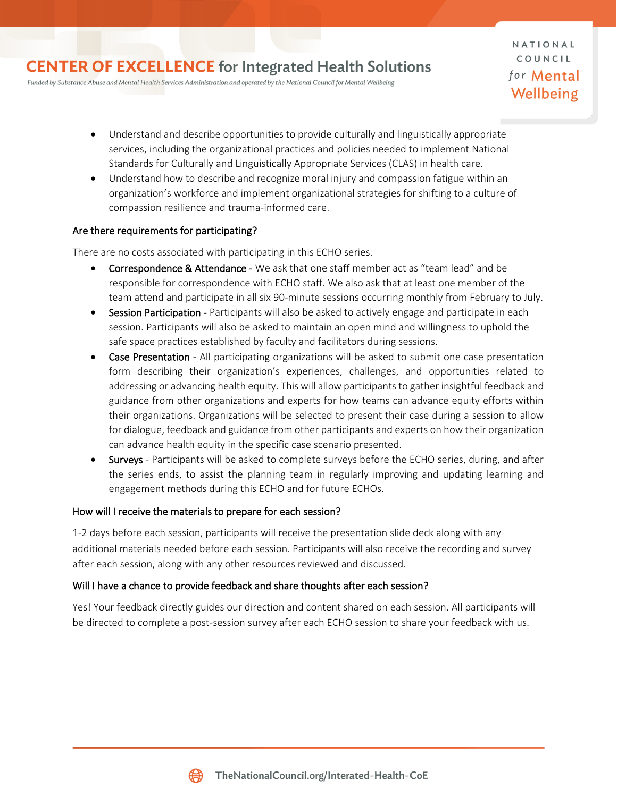Funded by Substance Abuse and Mental Health Services Administration and operated by the National Council for Mental Wellbeing

NATIONAL COUNCIL for **Mental** Wellbeing

- Understand and describe opportunities to provide culturally and linguistically appropriate services, including the organizational practices and policies needed to implement National Standards for Culturally and Linguistically Appropriate Services (CLAS) in health care.
- Understand how to describe and recognize moral injury and compassion fatigue within an organization's workforce and implement organizational strategies for shifting to a culture of compassion resilience and trauma-informed care.

#### Are there requirements for participating?

There are no costs associated with participating in this ECHO series.

- Correspondence & Attendance We ask that one staff member act as "team lead" and be responsible for correspondence with ECHO staff. We also ask that at least one member of the team attend and participate in all six 90-minute sessions occurring monthly from February to July.
- Session Participation Participants will also be asked to actively engage and participate in each session. Participants will also be asked to maintain an open mind and willingness to uphold the safe space practices established by faculty and facilitators during sessions.
- Case Presentation All participating organizations will be asked to submit one case presentation form describing their organization's experiences, challenges, and opportunities related to addressing or advancing health equity. This will allow participants to gather insightful feedback and guidance from other organizations and experts for how teams can advance equity efforts within their organizations. Organizations will be selected to present their case during a session to allow for dialogue, feedback and guidance from other participants and experts on how their organization can advance health equity in the specific case scenario presented.
- Surveys Participants will be asked to complete surveys before the ECHO series, during, and after the series ends, to assist the planning team in regularly improving and updating learning and engagement methods during this ECHO and for future ECHOs.

#### How will I receive the materials to prepare for each session?

1-2 days before each session, participants will receive the presentation slide deck along with any additional materials needed before each session. Participants will also receive the recording and survey after each session, along with any other resources reviewed and discussed.

#### Will I have a chance to provide feedback and share thoughts after each session?

Yes! Your feedback directly guides our direction and content shared on each session. All participants will be directed to complete a post-session survey after each ECHO session to share your feedback with us.